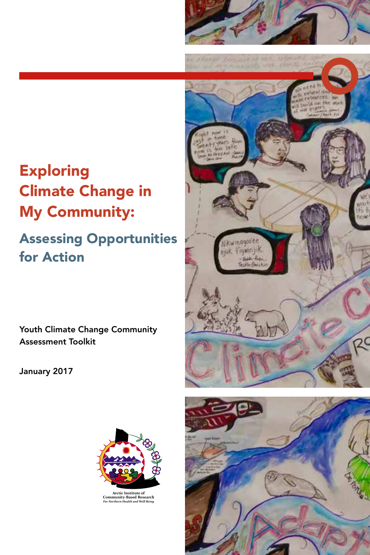# Exploring Climate Change in My Community:

# Assessing Opportunities for Action

Youth Climate Change Community Assessment Toolkit

January 2017



*For Northern Health and Well-Being* **Arctic Institute of Community-Based Research**



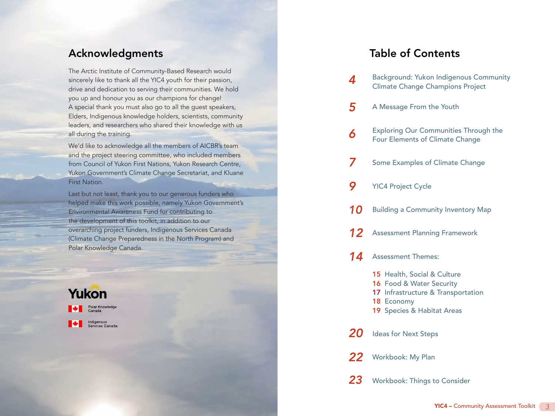## Acknowledgments

The Arctic Institute of Community-Based Research would sincerely like to thank all the YIC4 youth for their passion, drive and dedication to serving their communities. We hold you up and honour you as our champions for change! A special thank you must also go to all the guest speakers, Elders, Indigenous knowledge holders, scientists, community leaders, and researchers who shared their knowledge with us all during the training.

We'd like to acknowledge all the members of AICBR's team and the project steering committee, who included members from Council of Yukon First Nations, Yukon Research Centre, Yukon Government's Climate Change Secretariat, and Kluane First Nation.

Last but not least, thank you to our generous funders who helped make this work possible, namely Yukon Government's Environmental Awareness Fund for contributing to the development of this toolkit, in addition to our overarching project funders, Indigenous Services Canada (Climate Change Preparedness in the North Program) and Polar Knowledge Canada.



# Table of Contents

- [Background: Yukon Indigenous Community](#page-2-0)  [Climate Change Champions Project](#page-2-0) *[4](#page-2-0)*
- [A Message From the Youth](#page-2-0) *[5](#page-2-0)*
- [Exploring Our Communities Through the](#page-3-0)  [Four Elements of Climate Change](#page-3-0) *[6](#page-3-0)*
- [Some Examples of Climate Change](#page-3-0) *[7](#page-3-0)*
- [YIC4 Project Cycle](#page-4-0) *[9](#page-4-0)*
- [Building a Community Inventory Map](#page-5-0) *[10](#page-5-0)*
- [Assessment Planning Framework](#page-6-0) *[12](#page-6-0)*
- [Assessment Themes:](#page-7-0)  *[14](#page-7-0)*
	- 15 [Health, Social & Culture](#page-7-0)
	- 16 Food & Water Security
	- 17 [Infrastructure & Transportation](#page-8-0)
	- 18 [Economy](#page-9-0)
	- 19 [Species & Habitat Areas](#page-9-0)

[Ideas for Next Steps](#page-10-0) *[20](#page-10-0)*

[Workbook: My Plan](#page-11-0) *[22](#page-11-0)*

[Workbook: Things to Consider](#page-11-0) *[23](#page-11-0)*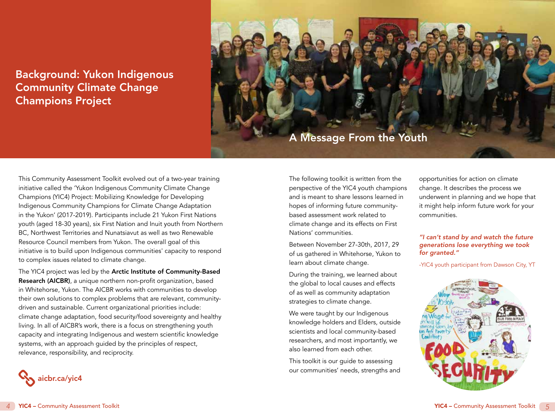# <span id="page-2-0"></span>Background: Yukon Indigenous Community Climate Change Champions Project



This Community Assessment Toolkit evolved out of a two-year training initiative called the 'Yukon Indigenous Community Climate Change Champions (YIC4) Project: Mobilizing Knowledge for Developing Indigenous Community Champions for Climate Change Adaptation in the Yukon' (2017-2019). Participants include 21 Yukon First Nations youth (aged 18-30 years), six First Nation and Inuit youth from Northern BC, Northwest Territories and Nunatsiavut as well as two Renewable Resource Council members from Yukon. The overall goal of this initiative is to build upon Indigenous communities' capacity to respond to complex issues related to climate change.

The YIC4 project was led by the **Arctic Institute of Community-Based** Research (AICBR), a unique northern non-profit organization, based in Whitehorse, Yukon. The AICBR works with communities to develop their own solutions to complex problems that are relevant, communitydriven and sustainable. Current organizational priorities include: climate change adaptation, food security/food sovereignty and healthy living. In all of AICBR's work, there is a focus on strengthening youth capacity and integrating Indigenous and western scientific knowledge systems, with an approach guided by the principles of respect, relevance, responsibility, and reciprocity.

The following toolkit is written from the perspective of the YIC4 youth champions and is meant to share lessons learned in hopes of informing future communitybased assessment work related to climate change and its effects on First Nations' communities.

Between November 27-30th, 2017, 29 of us gathered in Whitehorse, Yukon to learn about climate change.

During the training, we learned about the global to local causes and effects of as well as community adaptation strategies to climate change.

We were taught by our Indigenous knowledge holders and Elders, outside scientists and local community-based researchers, and most importantly, we also learned from each other.

This toolkit is our guide to assessing our communities' needs, strengths and opportunities for action on climate change. It describes the process we underwent in planning and we hope that it might help inform future work for your communities.

#### *"I can't stand by and watch the future generations lose everything we took for granted."*

-YIC4 youth participant from Dawson City, YT



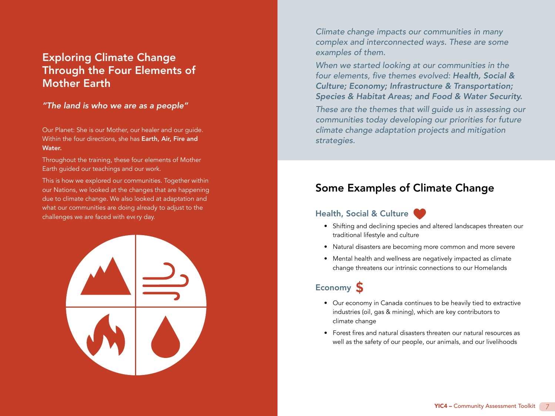# <span id="page-3-0"></span>Exploring Climate Change Through the Four Elements of Mother Earth

#### *"The land is who we are as a people"*

Our Planet: She is our Mother, our healer and our guide. Within the four directions, she has Earth, Air, Fire and Water.

Throughout the training, these four elements of Mother Earth guided our teachings and our work.

This is how we explored our communities. Together within our Nations, we looked at the changes that are happening due to climate change. We also looked at adaptation and what our communities are doing already to adjust to the challenges we are faced with every day.



*Climate change impacts our communities in many complex and interconnected ways. These are some examples of them.* 

*When we started looking at our communities in the*  four elements, five themes evolved: *Health, Social & Culture; Economy; Infrastructure & Transportation; Species & Habitat Areas; and Food & Water Security.*

*These are the themes that will guide us in assessing our*  communities today developing our priorities for future *climate change adaptation projects and mitigation strategies.*

# Some Examples of Climate Change

## Health, Social & Culture



- Shifting and declining species and altered landscapes threaten our traditional lifestyle and culture
- Natural disasters are becoming more common and more severe
- Mental health and wellness are negatively impacted as climate change threatens our intrinsic connections to our Homelands

# Economy S

- Our economy in Canada continues to be heavily tied to extractive industries (oil, gas & mining), which are key contributors to climate change
- Forest fires and natural disasters threaten our natural resources as well as the safety of our people, our animals, and our livelihoods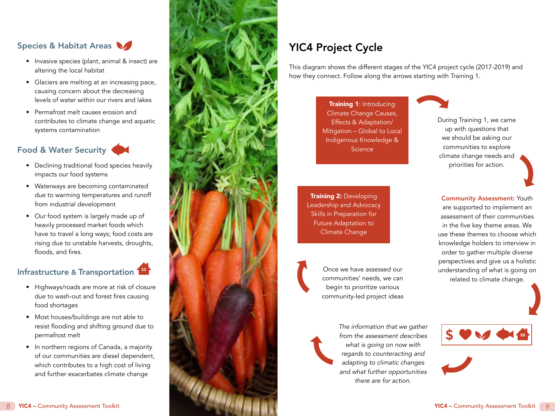## <span id="page-4-0"></span>Species & Habitat Areas

- Invasive species (plant, animal & insect) are altering the local habitat
- Glaciers are melting at an increasing pace, causing concern about the decreasing levels of water within our rivers and lakes
- Permafrost melt causes erosion and contributes to climate change and aquatic systems contamination

## Food & Water Security

- Declining traditional food species heavily impacts our food systems
- Waterways are becoming contaminated due to warming temperatures and runoff from industrial development
- Our food system is largely made up of heavily processed market foods which have to travel a long ways; food costs are rising due to unstable harvests, droughts, floods, and fires.

# Infrastructure & Transportation

- Highways/roads are more at risk of closure due to wash-out and forest fires causing food shortages
- Most houses/buildings are not able to resist flooding and shifting ground due to permafrost melt
- In northern regions of Canada, a majority of our communities are diesel dependent, which contributes to a high cost of living and further exacerbates climate change



# YIC4 Project Cycle

This diagram shows the different stages of the YIC4 project cycle (2017-2019) and how they connect. Follow along the arrows starting with Training 1.

> Training 1: Introducing Climate Change Causes, Effects & Adaptation/ Mitigation – Global to Local Indigenous Knowledge & **Science**



During Training 1, we came up with questions that we should be asking our communities to explore climate change needs and priorities for action.

**Training 2: Developing** Leadership and Advocacy Skills in Preparation for Future Adaptation to Climate Change





*The information that we gather from the assessment describes what is going on now with regards to counteracting and adapting to climatic changes and what further opportunities there are for action.*

Community Assessment: Youth are supported to implement an assessment of their communities in the five key theme areas. We use these themes to choose which knowledge holders to interview in order to gather multiple diverse perspectives and give us a holistic understanding of what is going on related to climate change.

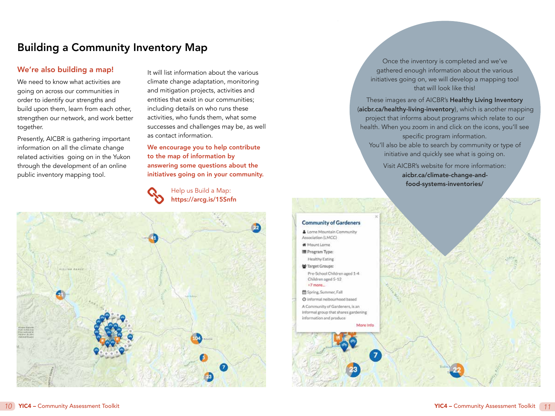# <span id="page-5-0"></span>Building a Community Inventory Map

#### We're also building a map!

We need to know what activities are going on across our communities in order to identify our strengths and build upon them, learn from each other, strengthen our network, and work better together.

Presently, AICBR is gathering important information on all the climate change related activities going on in the Yukon through the development of an online public inventory mapping tool.

It will list information about the various climate change adaptation, monitoring and mitigation projects, activities and entities that exist in our communities; including details on who runs these activities, who funds them, what some successes and challenges may be, as well as contact information.

We encourage you to help contribute to the map of information by answering some questions about the initiatives going on in your community.

> Help us Build a Map: <https://arcg.is/15Snfn>



Once the inventory is completed and we've gathered enough information about the various initiatives going on, we will develop a mapping tool that will look like this!

These images are of AICBR's Healthy Living Inventory (aicbr.ca/healthy-living-inventory), which is another mapping project that informs about programs which relate to our health. When you zoom in and click on the icons, you'll see specific program information. You'll also be able to search by community or type of initiative and quickly see what is going on. Visit AICBR's website for more information: [aicbr.ca/climate-change-and](http://aicbr.ca/climate-change-and- food-systems-inventories/)[food-systems-inventories/](http://aicbr.ca/climate-change-and- food-systems-inventories/)

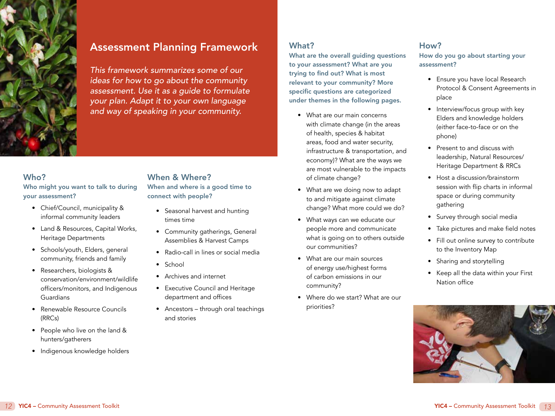<span id="page-6-0"></span>

# Assessment Planning Framework

*This framework summarizes some of our ideas for how to go about the community assessment. Use it as a guide to formulate your plan. Adapt it to your own language and way of speaking in your community.*

#### Who?

Who might you want to talk to during your assessment?

- Chief/Council, municipality & informal community leaders
- Land & Resources, Capital Works, Heritage Departments
- Schools/youth, Elders, general community, friends and family
- Researchers, biologists & conservation/environment/wildlife officers/monitors, and Indigenous Guardians
- Renewable Resource Councils (RRCs)
- People who live on the land & hunters/gatherers
- Indigenous knowledge holders

#### When & Where?

When and where is a good time to connect with people?

- Seasonal harvest and hunting times time
- Community gatherings, General Assemblies & Harvest Camps
- Radio-call in lines or social media
- School
- Archives and internet
- Executive Council and Heritage department and offices
- Ancestors through oral teachings and stories

## What?

What are the overall guiding questions to your assessment? What are you trying to find out? What is most relevant to your community? More specific questions are categorized under themes in the following pages.

- What are our main concerns with climate change (in the areas of health, species & habitat areas, food and water security, infrastructure & transportation, and economy)? What are the ways we are most vulnerable to the impacts of climate change?
- What are we doing now to adapt to and mitigate against climate change? What more could we do?
- What ways can we educate our people more and communicate what is going on to others outside our communities?
- What are our main sources of energy use/highest forms of carbon emissions in our community?
- Where do we start? What are our priorities?

#### How?

How do you go about starting your assessment?

- Ensure you have local Research Protocol & Consent Agreements in place
- Interview/focus group with key Elders and knowledge holders (either face-to-face or on the phone)
- Present to and discuss with leadership, Natural Resources/ Heritage Department & RRCs
- Host a discussion/brainstorm session with flip charts in informal space or during community gathering
- Survey through social media
- Take pictures and make field notes
- Fill out online survey to contribute to the Inventory Map
- Sharing and storytelling
- Keep all the data within your First Nation office

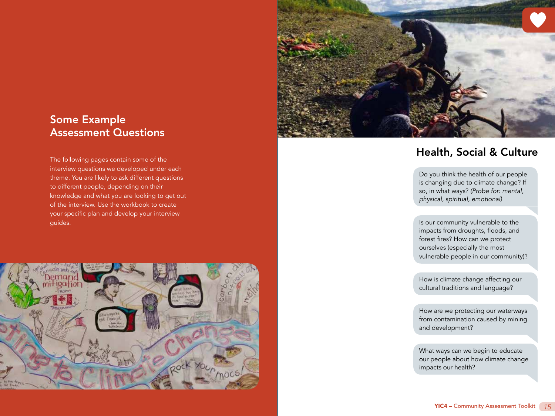

# <span id="page-7-0"></span>Some Example Assessment Questions

interview questions we developed under each theme. You are likely to ask different questions to different people, depending on their knowledge and what you are looking to get out of the interview. Use the workbook to create your specific plan and develop your interview guides.



# The following pages contain some of the **Equation Contains and Culture** The following pages contain some of the **The following pages** contain some of the **The following pages** contain some of the

Do you think the health of our people is changing due to climate change? If so, in what ways? *(Probe for: mental, physical, spiritual, emotional)*

Is our community vulnerable to the impacts from droughts, floods, and forest fires? How can we protect ourselves (especially the most vulnerable people in our community) ?

How is climate change affecting our cultural traditions and language?

How are we protecting our waterways from contamination caused by mining and development?

What ways can we begin to educate our people about how climate change impacts our health?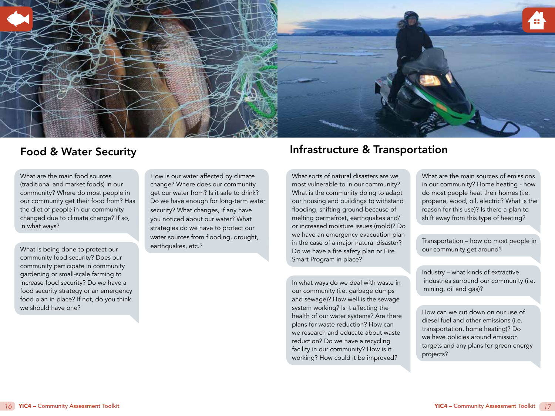<span id="page-8-0"></span>

## Food & Water Security

What are the main food sources (traditional and market foods) in our community? Where do most people in our community get their food from? Has the diet of people in our community changed due to climate change? If so, in what ways?

What is being done to protect our community food security? Does our community participate in community gardening or small-scale farming to increase food security? Do we have a food security strategy or an emergency food plan in place? If not, do you think we should have one?

How is our water affected by climate change? Where does our community get our water from? Is it safe to drink? Do we have enough for long-term water security? What changes, if any have you noticed about our water? What strategies do we have to protect our water sources from flooding, drought, earthquakes, etc.?

# Infrastructure & Transportation

What sorts of natural disasters are we most vulnerable to in our community? What is the community doing to adapt our housing and buildings to withstand flooding, shifting ground because of melting permafrost, earthquakes and/ or increased moisture issues (mold)? Do we have an emergency evacuation plan in the case of a major natural disaster? Do we have a fire safety plan or Fire Smart Program in place?

In what ways do we deal with waste in our community (i.e. garbage dumps and sewage)? How well is the sewage system working? Is it affecting the health of our water systems? Are there plans for waste reduction? How can we research and educate about waste reduction? Do we have a recycling facility in our community? How is it working? How could it be improved?

What are the main sources of emissions in our community? Home heating - how do most people heat their homes (i.e. propane, wood, oil, electric? What is the reason for this use)? Is there a plan to shift away from this type of heating?

Transportation – how do most people in our community get around?

Industry – what kinds of extractive industries surround our community (i.e. mining, oil and gas)?

How can we cut down on our use of diesel fuel and other emissions (i.e. transportation, home heating)? Do we have policies around emission targets and any plans for green energy projects?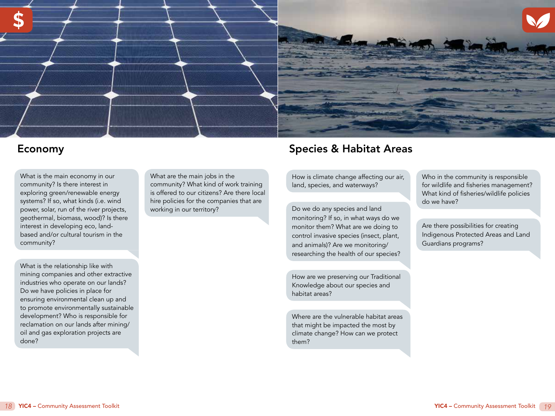<span id="page-9-0"></span>

## Economy

What is the main economy in our community? Is there interest in exploring green/renewable energy systems? If so, what kinds (i.e. wind power, solar, run of the river projects, geothermal, biomass, wood)? Is there interest in developing eco, landbased and/or cultural tourism in the community?

What is the relationship like with mining companies and other extractive industries who operate on our lands? Do we have policies in place for ensuring environmental clean up and to promote environmentally sustainable development? Who is responsible for reclamation on our lands after mining/ oil and gas exploration projects are done?

What are the main jobs in the community? What kind of work training is offered to our citizens? Are there local hire policies for the companies that are working in our territory?

# Species & Habitat Areas

How is climate change affecting our air, land, species, and waterways?

Do we do any species and land monitoring? If so, in what ways do we monitor them? What are we doing to control invasive species (insect, plant, and animals)? Are we monitoring/ researching the health of our species?

How are we preserving our Traditional Knowledge about our species and habitat areas?

Where are the vulnerable habitat areas that might be impacted the most by climate change? How can we protect them?

Who in the community is responsible for wildlife and fisheries management? What kind of fisheries/wildlife policies do we have?

Are there possibilities for creating Indigenous Protected Areas and Land Guardians programs?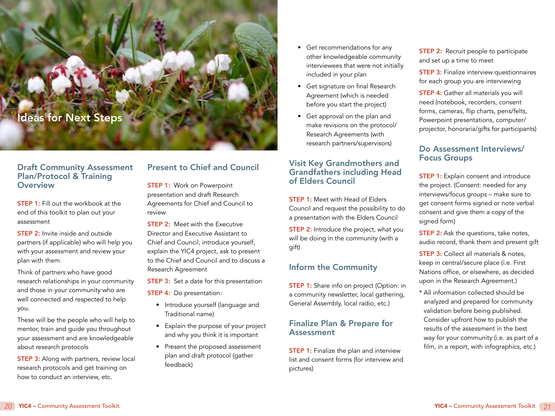# <span id="page-10-0"></span>Ideas for Next Steps

#### Draft Community Assessment Plan/Protocol & Training **Overview**

**STEP 1:** Fill out the workbook at the end of this toolkit to plan out your assessment

STEP 2: Invite inside and outside partners (if applicable) who will help you with your assessment and review your plan with them

Think of partners who have good research relationships in your community and those in your community who are well connected and respected to help you.

These will be the people who will help to mentor, train and guide you throughout your assessment and are knowledgeable about research protocols

**STEP 3:** Along with partners, review local research protocols and get training on how to conduct an interview, etc.

## Present to Chief and Council

**STEP 1: Work on Powerpoint** presentation and draft Research Agreements for Chief and Council to review

**STEP 2:** Meet with the Executive Director and Executive Assistant to Chief and Council, introduce yourself, explain the YIC4 project, ask to present to the Chief and Council and to discuss a Research Agreement

**STEP 3:** Set a date for this presentation

**STEP 4:** Do presentation:

- Introduce yourself (language and Traditional name)
- Explain the purpose of your project and why you think it is important
- Present the proposed assessment plan and draft protocol (gather feedback)
- Get recommendations for any other knowledgeable community interviewees that were not initially included in your plan
- Get signature on final Research Agreement (which is needed before you start the project)
- Get approval on the plan and make revisions on the protocol/ Research Agreements (with research partners/supervisors)

#### Visit Key Grandmothers and Grandfathers including Head of Elders Council

**STEP 1:** Meet with Head of Elders Council and request the possibility to do a presentation with the Elders Council

**STEP 2:** Introduce the project, what you will be doing in the community (with a gift)

#### Inform the Community

**STEP 1:** Share info on project (Option: in a community newsletter, local gathering, General Assembly, local radio, etc.)

#### Finalize Plan & Prepare for **Assessment**

**STEP 1:** Finalize the plan and interview list and consent forms (for interview and pictures)

**STEP 2:** Recruit people to participate and set up a time to meet

**STEP 3:** Finalize interview questionnaires for each group you are interviewing

**STEP 4:** Gather all materials you will need (notebook, recorders, consent forms, cameras, flip charts, pens/felts, Powerpoint presentations, computer/ projector, honoraria/gifts for participants)

#### Do Assessment Interviews/ Focus Groups

**STEP 1:** Explain consent and introduce the project. (Consent: needed for any interviews/focus groups – make sure to get consent forms signed or note verbal consent and give them a copy of the signed form)

**STEP 2:** Ask the questions, take notes, audio record, thank them and present gift

**STEP 3:** Collect all materials & notes. keep in central/secure place (i.e. First Nations office, or elsewhere, as decided upon in the Research Agreement.)

\* All information collected should be analyzed and prepared for community validation before being published. Consider upfront how to publish the results of the assessment in the best way for your community (i.e. as part of a film, in a report, with infographics, etc.)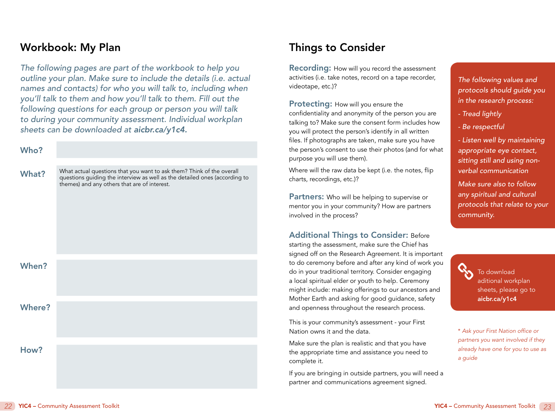# <span id="page-11-0"></span>Workbook: My Plan

*The following pages are part of the workbook to help you outline your plan. Make sure to include the details (i.e. actual names and contacts) for who you will talk to, including when you'll talk to them and how you'll talk to them. Fill out the following questions for each group or person you will talk*  to during your community assessment. Individual workplan *sheets can be downloaded at [aicbr.ca/y1c4.](http://aicbr.ca/y1c4)*

#### Who?

What? Where? When? What actual questions that you want to ask them? Think of the overall questions guiding the interview as well as the detailed ones (according to themes) and any others that are of interest.

# Things to Consider

Recording: How will you record the assessment activities (i.e. take notes, record on a tape recorder, videotape, etc.)?

Protecting: How will you ensure the confidentiality and anonymity of the person you are talking to? Make sure the consent form includes how you will protect the person's identify in all written files. If photographs are taken, make sure you have the person's consent to use their photos (and for what purpose you will use them).

Where will the raw data be kept (i.e. the notes, flip charts, recordings, etc.)?

Partners: Who will be helping to supervise or mentor you in your community? How are partners involved in the process?

Additional Things to Consider: Before starting the assessment, make sure the Chief has signed off on the Research Agreement. It is important to do ceremony before and after any kind of work you do in your traditional territory. Consider engaging a local spiritual elder or youth to help. Ceremony might include: making offerings to our ancestors and Mother Earth and asking for good guidance, safety and openness throughout the research process.

This is your community's assessment - your First Nation owns it and the data.

Make sure the plan is realistic and that you have the appropriate time and assistance you need to complete it.

If you are bringing in outside partners, you will need a partner and communications agreement signed.

The following values and *protocols should guide you*  in the research process:

- *Tread lightly*
- *Be respectful*
- *Listen well by maintaining appropriate eye contact, sitting still and using non*verbal communication
- *Make sure also to follow any spiritual and cultural protocols that relate to your community.*

To download aditional workplan sheets, please go to [aicbr.ca/y1c4](http://aicbr.ca/y1c4)

\* Ask your First Nation office or *partners you want involved if they already have one for you to use as a guide*

How?